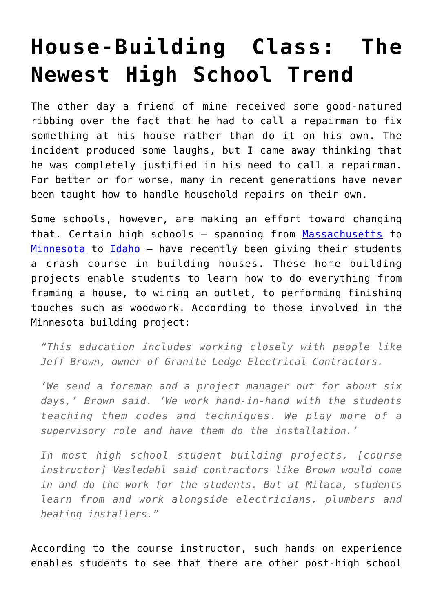## **[House-Building Class: The](https://intellectualtakeout.org/2016/12/house-building-class-the-newest-high-school-trend/) [Newest High School Trend](https://intellectualtakeout.org/2016/12/house-building-class-the-newest-high-school-trend/)**

The other day a friend of mine received some good-natured ribbing over the fact that he had to call a repairman to fix something at his house rather than do it on his own. The incident produced some laughs, but I came away thinking that he was completely justified in his need to call a repairman. For better or for worse, many in recent generations have never been taught how to handle household repairs on their own.

Some schools, however, are making an effort toward changing that. Certain high schools – spanning from [Massachusetts](http://www.masslive.com/news/index.ssf/2016/12/chicopee_comp_students_build_h.html) to [Minnesota](http://www.aberdeennews.com/wire/ap-state-mn/a-hands-on-approach-to-learning-about-skilled-trades/article_45db7af4-53cb-506d-bf7e-f4d943c3c9ce.html) to [Idaho](http://boisestatepublicradio.org/post/idaho-high-school-students-build-tiny-house#stream/0) - have recently been giving their students a crash course in building houses. These home building projects enable students to learn how to do everything from framing a house, to wiring an outlet, to performing finishing touches such as woodwork. According to those involved in the Minnesota building project:

*"This education includes working closely with people like Jeff Brown, owner of Granite Ledge Electrical Contractors.*

*'We send a foreman and a project manager out for about six days,' Brown said. 'We work hand-in-hand with the students teaching them codes and techniques. We play more of a supervisory role and have them do the installation.'*

*In most high school student building projects, [course instructor] Vesledahl said contractors like Brown would come in and do the work for the students. But at Milaca, students learn from and work alongside electricians, plumbers and heating installers."*

According to the course instructor, such hands on experience enables students to see that there are other post-high school